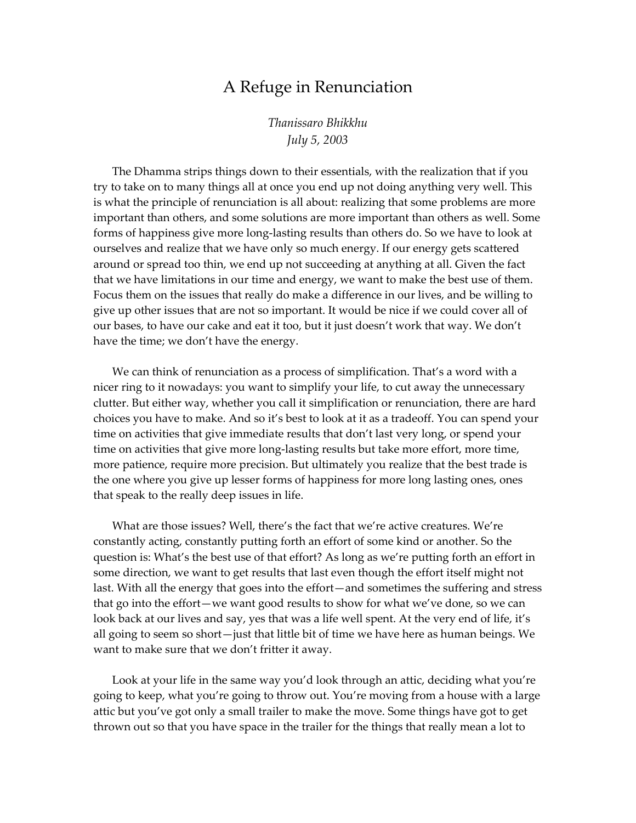## A Refuge in Renunciation

*Thanissaro Bhikkhu July 5, 2003* 

The Dhamma strips things down to their essentials, with the realization that if you try to take on to many things all at once you end up not doing anything very well. This is what the principle of renunciation is all about: realizing that some problems are more important than others, and some solutions are more important than others as well. Some forms of happiness give more long-lasting results than others do. So we have to look at ourselves and realize that we have only so much energy. If our energy gets scattered around or spread too thin, we end up not succeeding at anything at all. Given the fact that we have limitations in our time and energy, we want to make the best use of them. Focus them on the issues that really do make a difference in our lives, and be willing to give up other issues that are not so important. It would be nice if we could cover all of our bases, to have our cake and eat it too, but it just doesn't work that way. We don't have the time; we don't have the energy.

We can think of renunciation as a process of simplification. That's a word with a nicer ring to it nowadays: you want to simplify your life, to cut away the unnecessary clutter. But either way, whether you call it simplification or renunciation, there are hard choices you have to make. And so it's best to look at it as a tradeoff. You can spend your time on activities that give immediate results that don't last very long, or spend your time on activities that give more long-lasting results but take more effort, more time, more patience, require more precision. But ultimately you realize that the best trade is the one where you give up lesser forms of happiness for more long lasting ones, ones that speak to the really deep issues in life.

What are those issues? Well, there's the fact that we're active creatures. We're constantly acting, constantly putting forth an effort of some kind or another. So the question is: What's the best use of that effort? As long as we're putting forth an effort in some direction, we want to get results that last even though the effort itself might not last. With all the energy that goes into the effort—and sometimes the suffering and stress that go into the effort—we want good results to show for what we've done, so we can look back at our lives and say, yes that was a life well spent. At the very end of life, it's all going to seem so short—just that little bit of time we have here as human beings. We want to make sure that we don't fritter it away.

Look at your life in the same way you'd look through an attic, deciding what you're going to keep, what you're going to throw out. You're moving from a house with a large attic but you've got only a small trailer to make the move. Some things have got to get thrown out so that you have space in the trailer for the things that really mean a lot to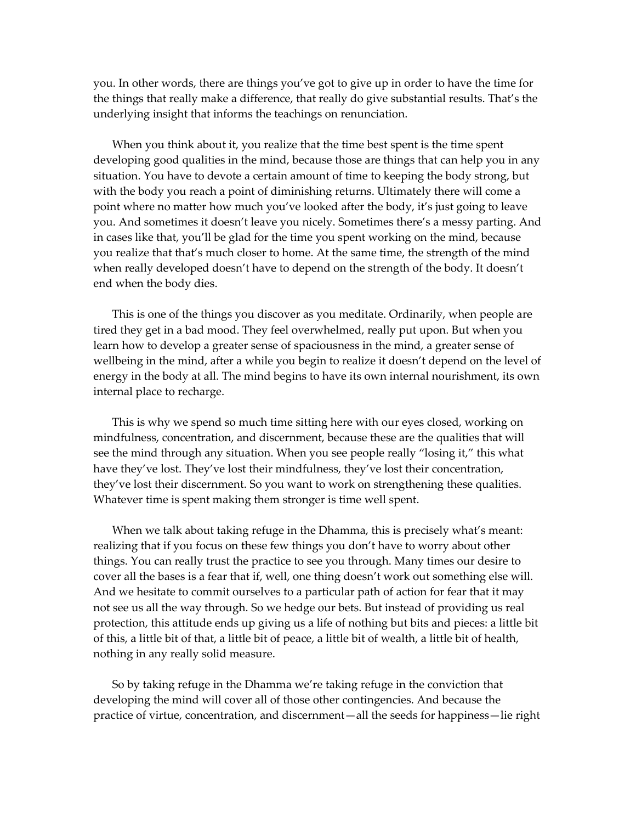you. In other words, there are things you've got to give up in order to have the time for the things that really make a difference, that really do give substantial results. That's the underlying insight that informs the teachings on renunciation.

When you think about it, you realize that the time best spent is the time spent developing good qualities in the mind, because those are things that can help you in any situation. You have to devote a certain amount of time to keeping the body strong, but with the body you reach a point of diminishing returns. Ultimately there will come a point where no matter how much you've looked after the body, it's just going to leave you. And sometimes it doesn't leave you nicely. Sometimes there's a messy parting. And in cases like that, you'll be glad for the time you spent working on the mind, because you realize that that's much closer to home. At the same time, the strength of the mind when really developed doesn't have to depend on the strength of the body. It doesn't end when the body dies.

This is one of the things you discover as you meditate. Ordinarily, when people are tired they get in a bad mood. They feel overwhelmed, really put upon. But when you learn how to develop a greater sense of spaciousness in the mind, a greater sense of wellbeing in the mind, after a while you begin to realize it doesn't depend on the level of energy in the body at all. The mind begins to have its own internal nourishment, its own internal place to recharge.

This is why we spend so much time sitting here with our eyes closed, working on mindfulness, concentration, and discernment, because these are the qualities that will see the mind through any situation. When you see people really "losing it," this what have they've lost. They've lost their mindfulness, they've lost their concentration, they've lost their discernment. So you want to work on strengthening these qualities. Whatever time is spent making them stronger is time well spent.

When we talk about taking refuge in the Dhamma, this is precisely what's meant: realizing that if you focus on these few things you don't have to worry about other things. You can really trust the practice to see you through. Many times our desire to cover all the bases is a fear that if, well, one thing doesn't work out something else will. And we hesitate to commit ourselves to a particular path of action for fear that it may not see us all the way through. So we hedge our bets. But instead of providing us real protection, this attitude ends up giving us a life of nothing but bits and pieces: a little bit of this, a little bit of that, a little bit of peace, a little bit of wealth, a little bit of health, nothing in any really solid measure.

So by taking refuge in the Dhamma we're taking refuge in the conviction that developing the mind will cover all of those other contingencies. And because the practice of virtue, concentration, and discernment—all the seeds for happiness—lie right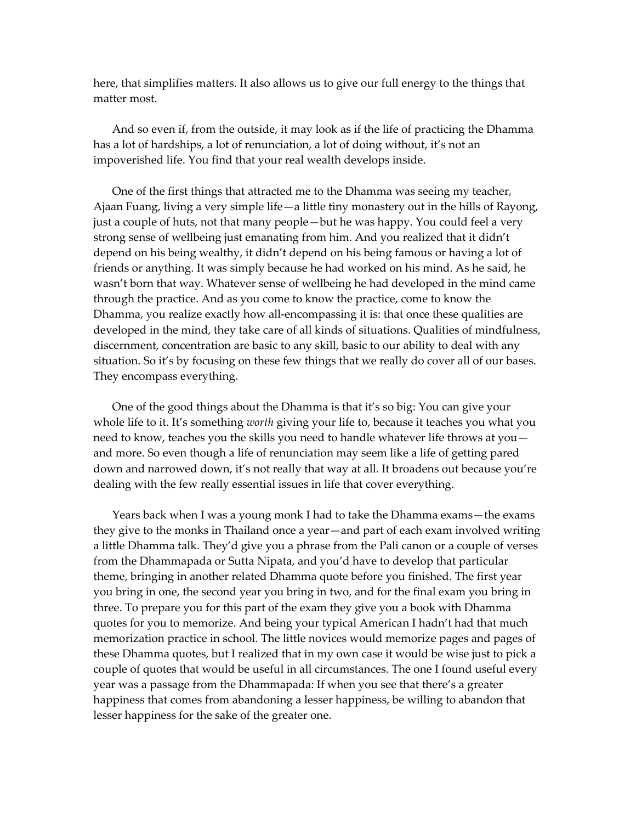here, that simplifies matters. It also allows us to give our full energy to the things that matter most.

And so even if, from the outside, it may look as if the life of practicing the Dhamma has a lot of hardships, a lot of renunciation, a lot of doing without, it's not an impoverished life. You find that your real wealth develops inside.

One of the first things that attracted me to the Dhamma was seeing my teacher, Ajaan Fuang, living a very simple life—a little tiny monastery out in the hills of Rayong, just a couple of huts, not that many people—but he was happy. You could feel a very strong sense of wellbeing just emanating from him. And you realized that it didn't depend on his being wealthy, it didn't depend on his being famous or having a lot of friends or anything. It was simply because he had worked on his mind. As he said, he wasn't born that way. Whatever sense of wellbeing he had developed in the mind came through the practice. And as you come to know the practice, come to know the Dhamma, you realize exactly how all-encompassing it is: that once these qualities are developed in the mind, they take care of all kinds of situations. Qualities of mindfulness, discernment, concentration are basic to any skill, basic to our ability to deal with any situation. So it's by focusing on these few things that we really do cover all of our bases. They encompass everything.

One of the good things about the Dhamma is that it's so big: You can give your whole life to it. It's something *worth* giving your life to, because it teaches you what you need to know, teaches you the skills you need to handle whatever life throws at you and more. So even though a life of renunciation may seem like a life of getting pared down and narrowed down, it's not really that way at all. It broadens out because you're dealing with the few really essential issues in life that cover everything.

Years back when I was a young monk I had to take the Dhamma exams—the exams they give to the monks in Thailand once a year—and part of each exam involved writing a little Dhamma talk. They'd give you a phrase from the Pali canon or a couple of verses from the Dhammapada or Sutta Nipata, and you'd have to develop that particular theme, bringing in another related Dhamma quote before you finished. The first year you bring in one, the second year you bring in two, and for the final exam you bring in three. To prepare you for this part of the exam they give you a book with Dhamma quotes for you to memorize. And being your typical American I hadn't had that much memorization practice in school. The little novices would memorize pages and pages of these Dhamma quotes, but I realized that in my own case it would be wise just to pick a couple of quotes that would be useful in all circumstances. The one I found useful every year was a passage from the Dhammapada: If when you see that there's a greater happiness that comes from abandoning a lesser happiness, be willing to abandon that lesser happiness for the sake of the greater one.